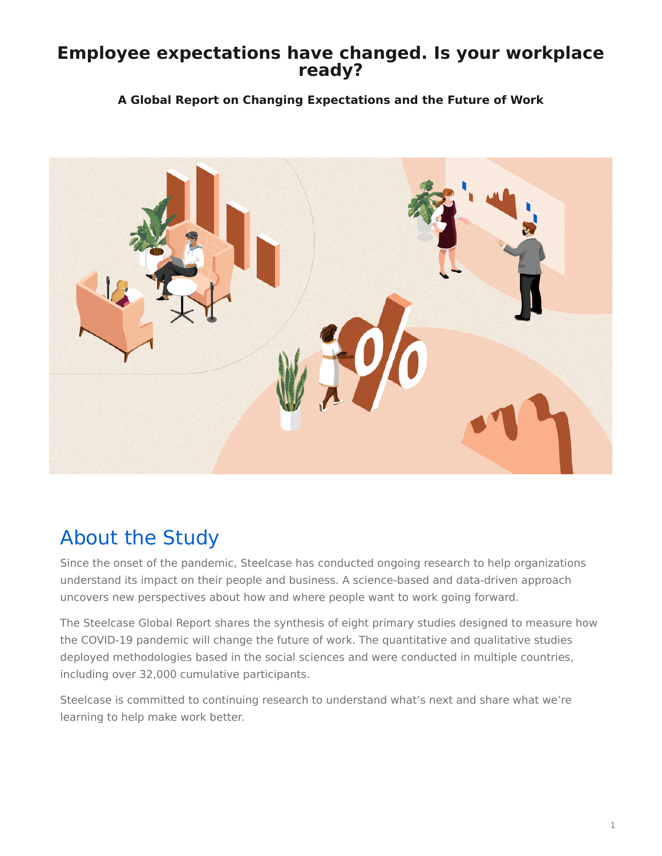### <span id="page-0-0"></span>**Employee expectations have changed. Is your workplace ready?**

#### **A Global Report on Changing Expectations and the Future of Work**



# About the Study

Since the onset of the pandemic, Steelcase has conducted ongoing research to help organizations understand its impact on their people and business. A science-based and data-driven approach uncovers new perspectives about how and where people want to work going forward.

The Steelcase Global Report shares the synthesis of eight primary studies designed to measure how the COVID-19 pandemic will change the future of work. The quantitative and qualitative studies deployed methodologies based in the social sciences and were conducted in multiple countries, including over 32,000 cumulative participants.

Steelcase is committed to continuing research to understand what's next and share what we're learning to help make work better.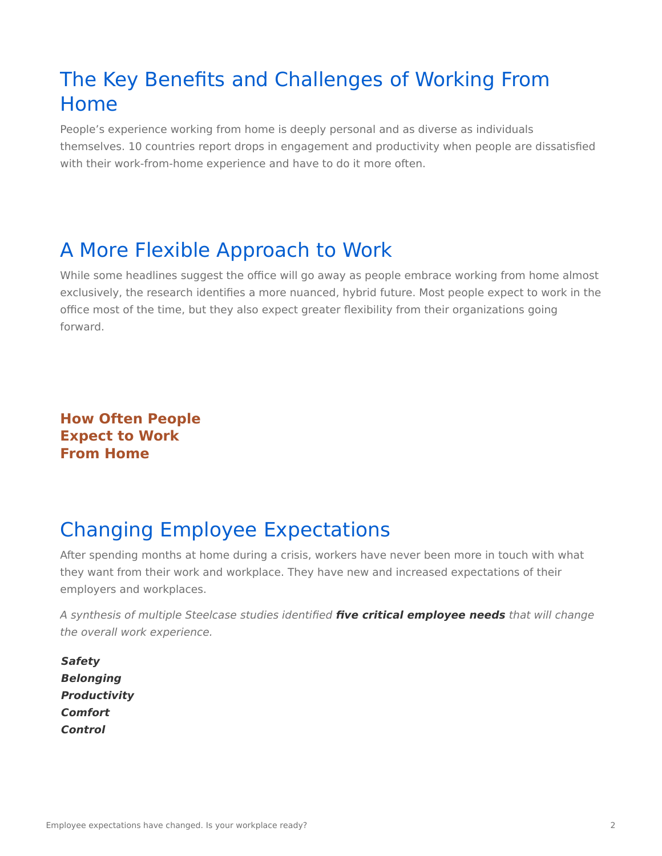## The Key Benefits and Challenges of Working From Home

People's experience working from home is deeply personal and as diverse as individuals themselves. 10 countries report drops in engagement and productivity when people are dissatisfied with their work-from-home experience and have to do it more often.

## A More Flexible Approach to Work

While some headlines suggest the office will go away as people embrace working from home almost exclusively, the research identifies a more nuanced, hybrid future. Most people expect to work in the office most of the time, but they also expect greater flexibility from their organizations going forward.

**How Often People Expect to Work From Home**

## Changing Employee Expectations

After spending months at home during a crisis, workers have never been more in touch with what they want from their work and workplace. They have new and increased expectations of their employers and workplaces.

A synthesis of multiple Steelcase studies identified **five critical employee needs** that will change the overall work experience.

• **Safety** • **Belonging** • **Productivity** • **Comfort** • **Control**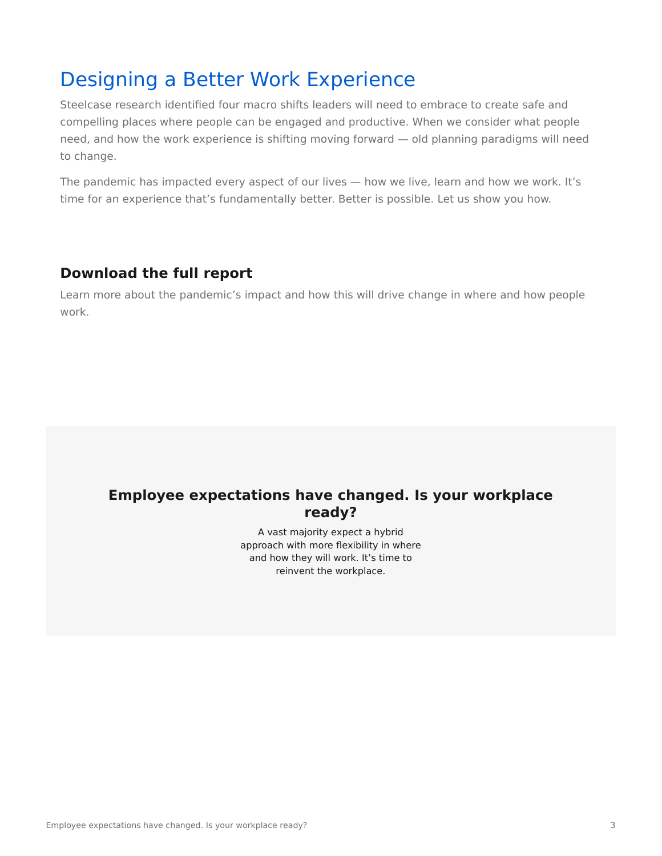### Designing a Better Work Experience

Steelcase research identified four macro shifts leaders will need to embrace to create safe and compelling places where people can be engaged and productive. When we consider what people need, and how the work experience is shifting moving forward — old planning paradigms will need to change.

The pandemic has impacted every aspect of our lives - how we live, learn and how we work. It's time for an experience that's fundamentally better. Better is possible. Let us show you how.

#### **Download the full report**

Learn more about the pandemic's impact and how this will drive change in where and how people work.

### **Employee expectations have changed. Is your workplace ready?**

A vast majority expect a hybrid approach with more flexibility in where and how they will work. It's time to reinvent the workplace.